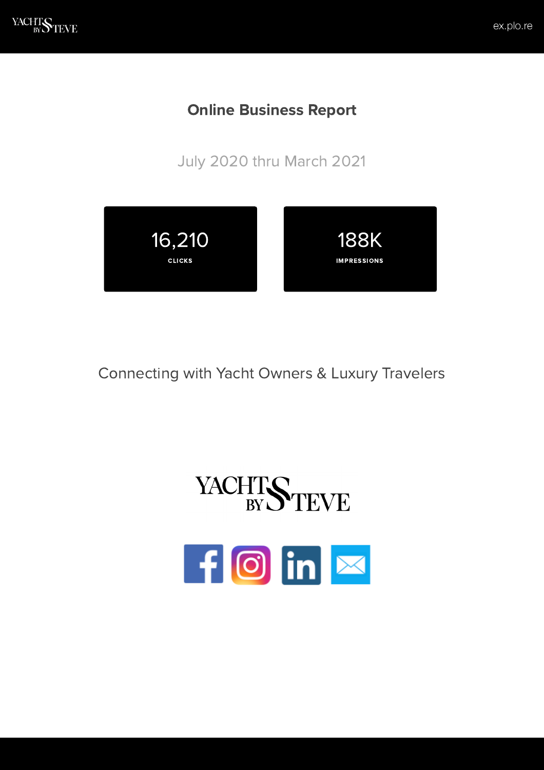# Online Business Report

July 2020 thru March 2021



# Connecting with Yacht Owners & Luxury Travelers



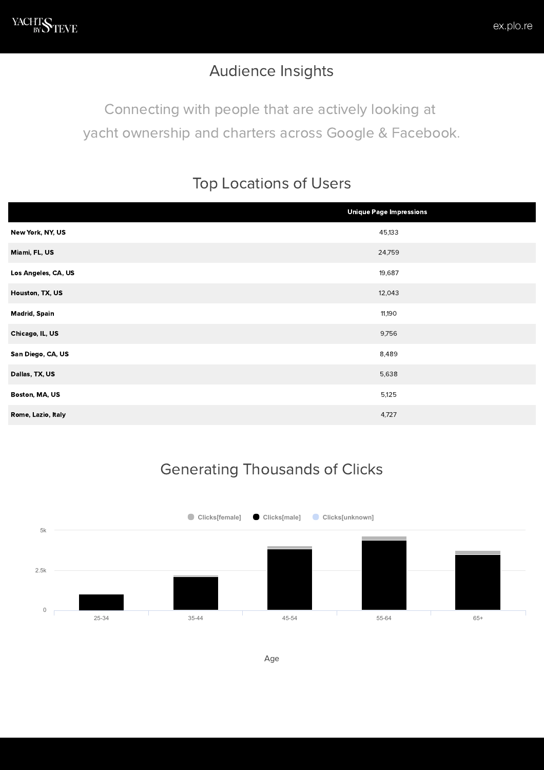### Audience Insights

Connecting with people that are actively looking at yacht ownership and charters across Google & Facebook.

#### Top Locations of Users

|                      | <b>Unique Page Impressions</b> |
|----------------------|--------------------------------|
| New York, NY, US     | 45,133                         |
| Miami, FL, US        | 24,759                         |
| Los Angeles, CA, US  | 19,687                         |
| Houston, TX, US      | 12,043                         |
| <b>Madrid, Spain</b> | 11,190                         |
| Chicago, IL, US      | 9,756                          |
| San Diego, CA, US    | 8,489                          |
| Dallas, TX, US       | 5,638                          |
| Boston, MA, US       | 5,125                          |
| Rome, Lazio, Italy   | 4,727                          |

# Generating Thousands of Clicks

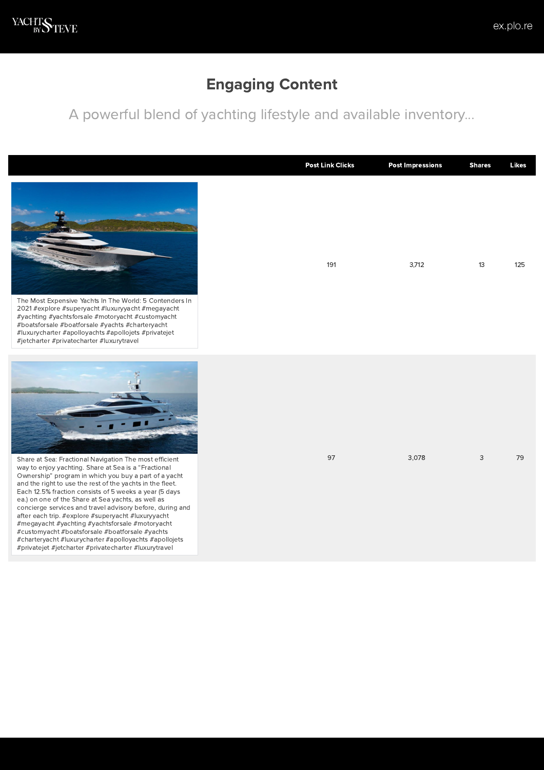### Engaging Content

A powerful blend of yachting lifestyle and available inventory...

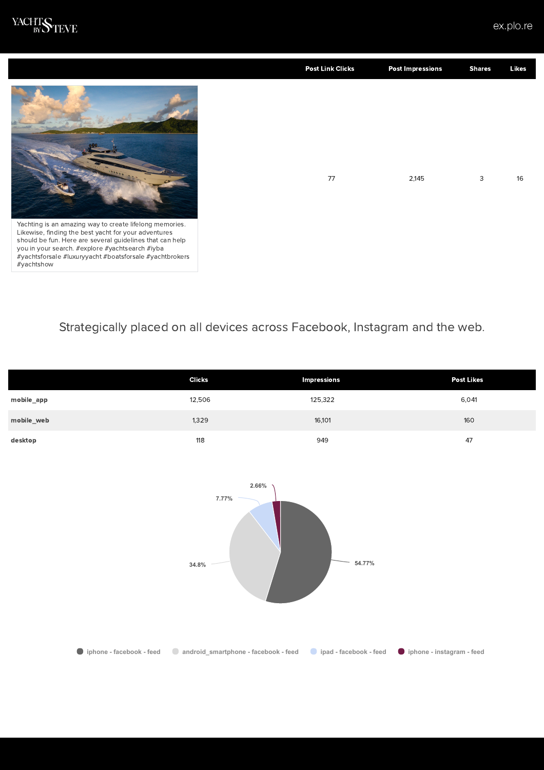

#yachtshow

|                                                                                                                                                                                                                                                                                           | <b>Post Link Clicks</b> | <b>Post Impressions</b> | <b>Shares</b> | Likes |
|-------------------------------------------------------------------------------------------------------------------------------------------------------------------------------------------------------------------------------------------------------------------------------------------|-------------------------|-------------------------|---------------|-------|
|                                                                                                                                                                                                                                                                                           | 77                      | 2,145                   | 3             | 16    |
| Yachting is an amazing way to create lifelong memories.<br>Likewise, finding the best yacht for your adventures<br>should be fun. Here are several guidelines that can help<br>you in your search. #explore #yachtsearch #iyba<br>#yachtsforsale #luxuryyacht #boatsforsale #yachtbrokers |                         |                         |               |       |

#### Strategically placed on all devices across Facebook, Instagram and the web.

|            | <b>Clicks</b> | <b>Impressions</b> | <b>Post Likes</b> |
|------------|---------------|--------------------|-------------------|
| mobile_app | 12,506        | 125,322            | 6,041             |
| mobile_web | 1,329         | 16,101             | 160               |
| desktop    | 118           | 949                | 47                |



**iphone - facebook - feed android\_smartphone - facebook - feed ipad - facebook - feed iphone - instagram - feed**